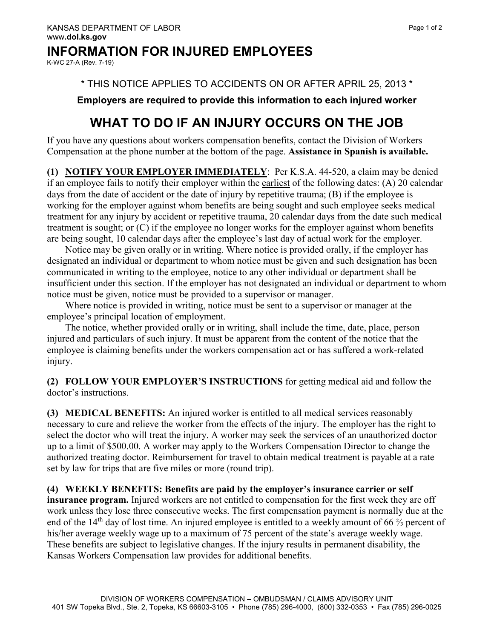### **INFORMATION FOR INJURED EMPLOYEES**

K-WC 27-A (Rev. 7-19)

\* THIS NOTICE APPLIES TO ACCIDENTS ON OR AFTER APRIL 25, 2013 \*

**Employers are required to provide this information to each injured worker**

# **WHAT TO DO IF AN INJURY OCCURS ON THE JOB**

If you have any questions about workers compensation benefits, contact the Division of Workers Compensation at the phone number at the bottom of the page. **Assistance in Spanish is available.**

**(1) NOTIFY YOUR EMPLOYER IMMEDIATELY**: Per K.S.A. 44-520, a claim may be denied if an employee fails to notify their employer within the earliest of the following dates: (A) 20 calendar days from the date of accident or the date of injury by repetitive trauma; (B) if the employee is working for the employer against whom benefits are being sought and such employee seeks medical treatment for any injury by accident or repetitive trauma, 20 calendar days from the date such medical treatment is sought; or (C) if the employee no longer works for the employer against whom benefits are being sought, 10 calendar days after the employee's last day of actual work for the employer.

 Notice may be given orally or in writing. Where notice is provided orally, if the employer has designated an individual or department to whom notice must be given and such designation has been communicated in writing to the employee, notice to any other individual or department shall be insufficient under this section. If the employer has not designated an individual or department to whom notice must be given, notice must be provided to a supervisor or manager.

 Where notice is provided in writing, notice must be sent to a supervisor or manager at the employee's principal location of employment.

 The notice, whether provided orally or in writing, shall include the time, date, place, person injured and particulars of such injury. It must be apparent from the content of the notice that the employee is claiming benefits under the workers compensation act or has suffered a work-related injury.

**(2) FOLLOW YOUR EMPLOYER'S INSTRUCTIONS** for getting medical aid and follow the doctor's instructions.

**(3) MEDICAL BENEFITS:** An injured worker is entitled to all medical services reasonably necessary to cure and relieve the worker from the effects of the injury. The employer has the right to select the doctor who will treat the injury. A worker may seek the services of an unauthorized doctor up to a limit of \$500.00. A worker may apply to the Workers Compensation Director to change the authorized treating doctor. Reimbursement for travel to obtain medical treatment is payable at a rate set by law for trips that are five miles or more (round trip).

#### **(4) WEEKLY BENEFITS: Benefits are paid by the employer's insurance carrier or self**

**insurance program.** Injured workers are not entitled to compensation for the first week they are off work unless they lose three consecutive weeks. The first compensation payment is normally due at the end of the 14<sup>th</sup> day of lost time. An injured employee is entitled to a weekly amount of 66 <sup>2</sup>/<sub>3</sub> percent of his/her average weekly wage up to a maximum of 75 percent of the state's average weekly wage. These benefits are subject to legislative changes. If the injury results in permanent disability, the Kansas Workers Compensation law provides for additional benefits.